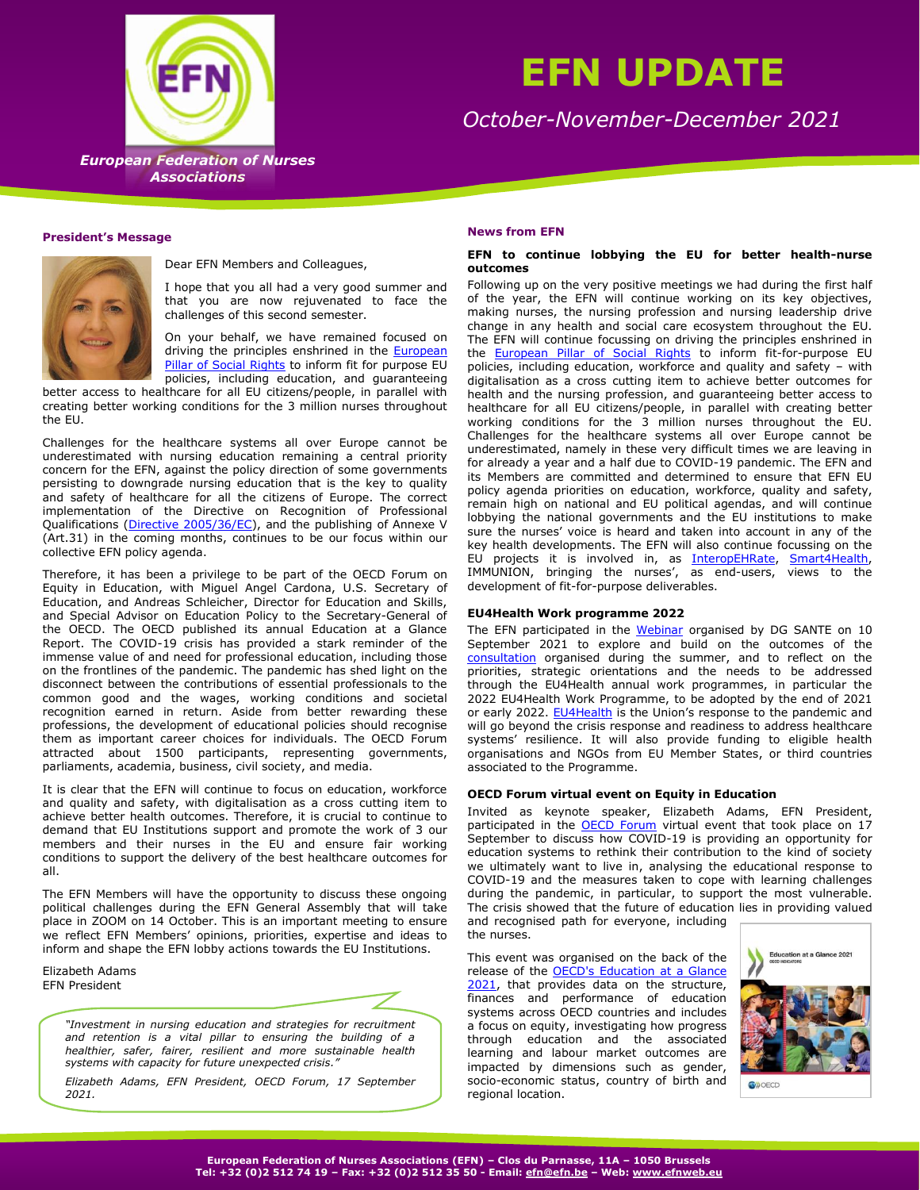

# **EFN UPDATE**

*October-November-December 2021*

**European Federation of Nurses**  *European Federation of Nurses*  **Associations** *Associations*

# **President's Message**



Dear EFN Members and Colleagues,

I hope that you all had a very good summer and that you are now rejuvenated to face the challenges of this second semester.

On your behalf, we have remained focused on driving the principles enshrined in the European Pillar [of Social Rights](https://ec.europa.eu/commission/priorities/deeper-and-fairer-economic-and-monetary-union/european-pillar-social-rights_en) to inform fit for purpose EU policies, including education, and guaranteeing

better access to healthcare for all EU citizens/people, in parallel with creating better working conditions for the 3 million nurses throughout the EU.

Challenges for the healthcare systems all over Europe cannot be underestimated with nursing education remaining a central priority concern for the EFN, against the policy direction of some governments persisting to downgrade nursing education that is the key to quality and safety of healthcare for all the citizens of Europe. The correct implementation of the Directive on Recognition of Professional Qualifications [\(Directive 2005/36/EC\)](https://eur-lex.europa.eu/legal-content/EN/TXT/?uri=celex%3A32005L0036), and the publishing of Annexe V (Art.31) in the coming months, continues to be our focus within our collective EFN policy agenda.

Therefore, it has been a privilege to be part of the OECD Forum on Equity in Education, with Miguel Angel Cardona, U.S. Secretary of Education, and Andreas Schleicher, Director for Education and Skills, and Special Advisor on Education Policy to the Secretary-General of the OECD. The OECD published its annual Education at a Glance Report. The COVID-19 crisis has provided a stark reminder of the immense value of and need for professional education, including those on the frontlines of the pandemic. The pandemic has shed light on the disconnect between the contributions of essential professionals to the common good and the wages, working conditions and societal recognition earned in return. Aside from better rewarding these professions, the development of educational policies should recognise them as important career choices for individuals. The OECD Forum attracted about 1500 participants, representing governments, parliaments, academia, business, civil society, and media.

It is clear that the EFN will continue to focus on education, workforce and quality and safety, with digitalisation as a cross cutting item to achieve better health outcomes. Therefore, it is crucial to continue to demand that EU Institutions support and promote the work of 3 our members and their nurses in the EU and ensure fair working conditions to support the delivery of the best healthcare outcomes for all.

The EFN Members will have the opportunity to discuss these ongoing political challenges during the EFN General Assembly that will take place in ZOOM on 14 October. This is an important meeting to ensure we reflect EFN Members' opinions, priorities, expertise and ideas to inform and shape the EFN lobby actions towards the EU Institutions.

Elizabeth Adams EFN President



*"Investment in nursing education and strategies for recruitment and retention is a vital pillar to ensuring the building of a healthier, safer, fairer, resilient and more sustainable health systems with capacity for future unexpected crisis."* 

*Elizabeth Adams, EFN President, OECD Forum, 17 September 2021.*

# **News from EFN**

# **EFN to continue lobbying the EU for better health-nurse outcomes**

Following up on the very positive meetings we had during the first half of the year, the EFN will continue working on its key objectives, making nurses, the nursing profession and nursing leadership drive change in any health and social care ecosystem throughout the EU. The EFN will continue focussing on driving the principles enshrined in the [European Pillar of Social Rights](https://ec.europa.eu/commission/priorities/deeper-and-fairer-economic-and-monetary-union/european-pillar-social-rights_en) to inform fit-for-purpose EU policies, including education, workforce and quality and safety – with digitalisation as a cross cutting item to achieve better outcomes for health and the nursing profession, and guaranteeing better access to healthcare for all EU citizens/people, in parallel with creating better working conditions for the 3 million nurses throughout the EU. Challenges for the healthcare systems all over Europe cannot be underestimated, namely in these very difficult times we are leaving in for already a year and a half due to COVID-19 pandemic. The EFN and its Members are committed and determined to ensure that EFN EU policy agenda priorities on education, workforce, quality and safety, remain high on national and EU political agendas, and will continue lobbying the national governments and the EU institutions to make sure the nurses' voice is heard and taken into account in any of the key health developments. The EFN will also continue focussing on the EU projects it is involved in, as [InteropEHRate,](http://www.interopehrate.eu/) [Smart4Health,](http://www.smart4health.eu/) IMMUNION, bringing the nurses', as end-users, views to the development of fit-for-purpose deliverables.

# **EU4Health Work programme 2022**

The EFN participated in the [Webinar](https://ec.europa.eu/health/funding/events/ev_20210910_en?fbclid=IwAR1S9corAicRP1lIXJhHZYEc4A7SQga3kRysHumZR8kKezqd0IlvhhqW9Ik) organised by DG SANTE on 10 September 2021 to explore and build on the outcomes of the [consultation](https://ec.europa.eu/newsroom/sante/items/716401/en) organised during the summer, and to reflect on the priorities, strategic orientations and the needs to be addressed through the EU4Health annual work programmes, in particular the 2022 EU4Health Work Programme, to be adopted by the end of 2021 or early 2022. [EU4Health](https://ec.europa.eu/health/funding/eu4health_en) is the Union's response to the pandemic and will go beyond the crisis response and readiness to address healthcare systems' resilience. It will also provide funding to eligible health organisations and NGOs from EU Member States, or third countries associated to the Programme.

# **OECD Forum virtual event on Equity in Education**

Invited as keynote speaker, Elizabeth Adams, EFN President, participated in the **OECD Forum** virtual event that took place on 17 September to discuss how COVID-19 is providing an opportunity for education systems to rethink their contribution to the kind of society we ultimately want to live in, analysing the educational response to COVID-19 and the measures taken to cope with learning challenges during the pandemic, in particular, to support the most vulnerable. The crisis showed that the future of education lies in providing valued and recognised path for everyone, including the nurses.

This event was organised on the back of the release of the **OECD's Education at a Glance** [2021,](https://www.oecd.org/education/education-at-a-glance-19991487.htm/?refcode=20190209ig) that provides data on the structure, finances and performance of education systems across OECD countries and includes a focus on equity, investigating how progress through education and the associated learning and labour market outcomes are impacted by dimensions such as gender, socio-economic status, country of birth and regional location.

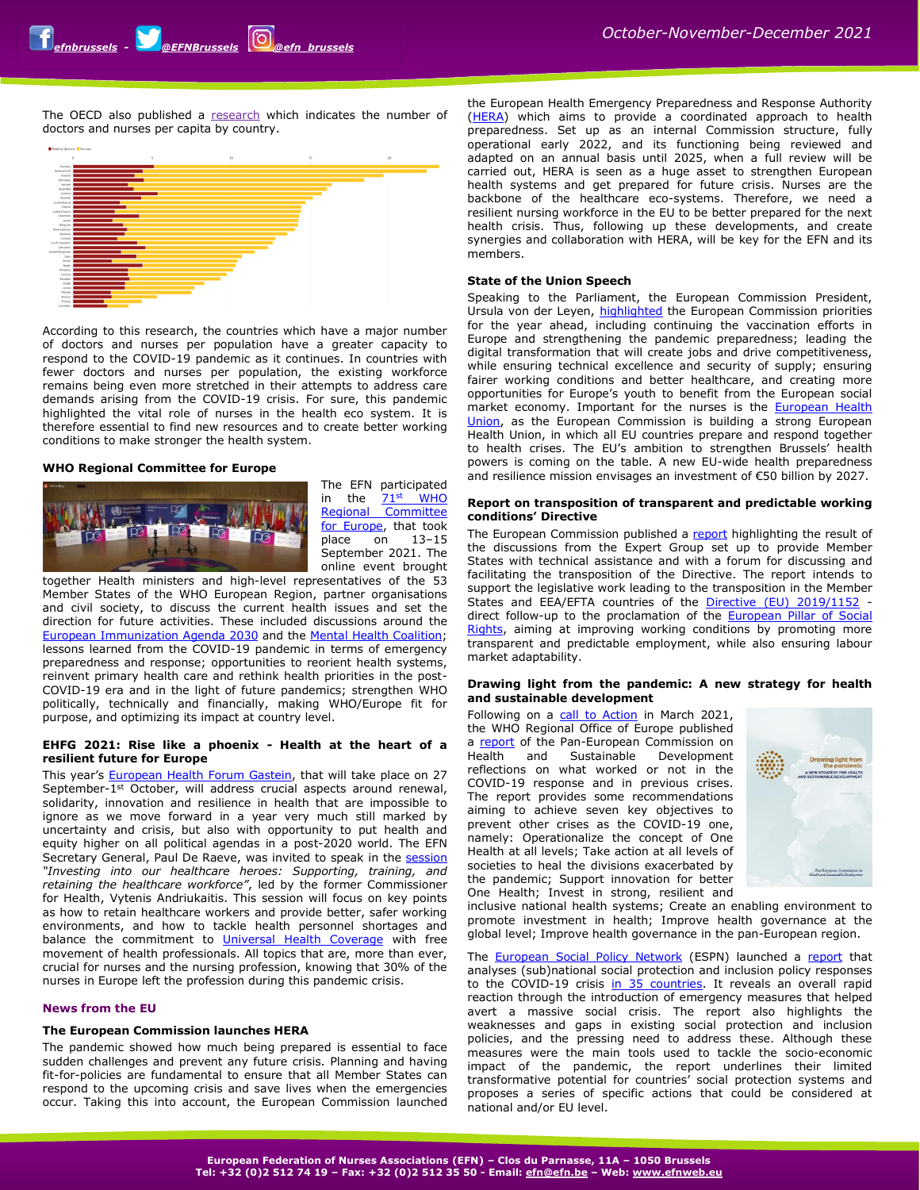The OECD also published a [research](https://www.oecd.org/coronavirus/fr/les-donnees-dechiffrees/effectifs-de-medecins-et-dinfirmiers?utm_term=PAC&utm_source=linkedin&utm_medium=social&utm_content=) which indicates the number of doctors and nurses per capita by country.



According to this research, the countries which have a major number of doctors and nurses per population have a greater capacity to respond to the COVID-19 pandemic as it continues. In countries with fewer doctors and nurses per population, the existing workforce remains being even more stretched in their attempts to address care demands arising from the COVID-19 crisis. For sure, this pandemic highlighted the vital role of nurses in the health eco system. It is therefore essential to find new resources and to create better working conditions to make stronger the health system.

# **WHO Regional Committee for Europe**



The EFN participated in the 71<sup>st</sup> WHO [Regional Committee](https://www.euro.who.int/en/about-us/governance/regional-committee-for-europe/71st-session)  [for Europe,](https://www.euro.who.int/en/about-us/governance/regional-committee-for-europe/71st-session) that took place on 13–15 September 2021. The online event brought

together Health ministers and high-level representatives of the 53 Member States of the WHO European Region, partner organisations and civil society, to discuss the current health issues and set the direction for future activities. These included discussions around the [European Immunization Agenda 2030](https://www.euro.who.int/en/health-topics/health-policy/european-programme-of-work/flagship-initiatives/the-european-immunization-agenda-2030) and the [Mental Health Coalition;](https://www.euro.who.int/en/health-topics/noncommunicable-diseases/mental-health/publications/2020/the-mental-health-coalition-a-whoeurope-flagship-initiative-2020) lessons learned from the COVID-19 pandemic in terms of emergency preparedness and response; opportunities to reorient health systems, reinvent primary health care and rethink health priorities in the post-COVID-19 era and in the light of future pandemics; strengthen WHO politically, technically and financially, making WHO/Europe fit for purpose, and optimizing its impact at country level.

# **EHFG 2021: Rise like a phoenix - Health at the heart of a resilient future for Europe**

This year's [European Health Forum Gastein,](https://www.ehfg.org/) that will take place on 27 September-1<sup>st</sup> October, will address crucial aspects around renewal, solidarity, innovation and resilience in health that are impossible to ignore as we move forward in a year very much still marked by uncertainty and crisis, but also with opportunity to put health and equity higher on all political agendas in a post-2020 world. The EFN Secretary General, Paul De Raeve, was invited to speak in the [session](https://www.ehfg.org/conference/programme/sessions/investing-into-our-healthcare-heroes) *"Investing into our healthcare heroes: Supporting, training, and retaining the healthcare workforce"*, led by the former Commissioner for Health, Vytenis Andriukaitis. This session will focus on key points as how to retain healthcare workers and provide better, safer working environments, and how to tackle health personnel shortages and balance the commitment to *[Universal Health Coverage](https://www.who.int/health-topics/universal-health-coverage)* with free movement of health professionals. All topics that are, more than ever, crucial for nurses and the nursing profession, knowing that 30% of the nurses in Europe left the profession during this pandemic crisis.

# **News from the EU**

# **The European Commission launches HERA**

The pandemic showed how much being prepared is essential to face sudden challenges and prevent any future crisis. Planning and having fit-for-policies are fundamental to ensure that all Member States can respond to the upcoming crisis and save lives when the emergencies occur. Taking this into account, the European Commission launched

the European Health Emergency Preparedness and Response Authority [\(HERA\)](https://ec.europa.eu/info/law/better-regulation/have-your-say/initiatives/12870-European-Health-Emergency-Preparedness-and-Response-Authority-HERA-_en) which aims to provide a coordinated approach to health preparedness. Set up as an internal Commission structure, fully operational early 2022, and its functioning being reviewed and adapted on an annual basis until 2025, when a full review will be carried out, HERA is seen as a huge asset to strengthen European health systems and get prepared for future crisis. Nurses are the backbone of the healthcare eco-systems. Therefore, we need a resilient nursing workforce in the EU to be better prepared for the next health crisis. Thus, following up these developments, and create synergies and collaboration with HERA, will be key for the EFN and its members.

# **State of the Union Speech**

Speaking to the Parliament, the European Commission President, Ursula von der Leyen, [highlighted](https://ec.europa.eu/info/sites/default/files/soteu_2021_address_en.pdf) the European Commission priorities for the year ahead, including continuing the vaccination efforts in Europe and strengthening the pandemic preparedness; leading the digital transformation that will create jobs and drive competitiveness, while ensuring technical excellence and security of supply; ensuring fairer working conditions and better healthcare, and creating more opportunities for Europe's youth to benefit from the European social market economy. Important for the nurses is the [European Health](https://ec.europa.eu/info/strategy/priorities-2019-2024/promoting-our-european-way-life/european-health-union_en)  [Union,](https://ec.europa.eu/info/strategy/priorities-2019-2024/promoting-our-european-way-life/european-health-union_en) as the European Commission is building a strong European Health Union, in which all EU countries prepare and respond together to health crises. The EU's ambition to strengthen Brussels' health powers is coming on the table. A new EU-wide health preparedness and resilience mission envisages an investment of €50 billion by 2027.

# **Report on transposition of transparent and predictable working conditions' Directive**

The European Commission published a [report](https://ec.europa.eu/social/main.jsp?catId=738&langId=en&pubId=8410) highlighting the result of the discussions from the Expert Group set up to provide Member States with technical assistance and with a forum for discussing and facilitating the transposition of the Directive. The report intends to support the legislative work leading to the transposition in the Member States and EEA/EFTA countries of the [Directive \(EU\) 2019/1152](http://url5729.etui.org/ls/click?upn=ocB2eH5SPlihFI0iVMkIBlK1PN10-2BeeXcb-2Btxk-2FyTtIgPqOeAKRMwajUlADN6YmDW7wCsQybPcbg09aZ6YnWMG8sA7I9vfQiNeMdblcSzKA-3DZWQh_ys56Q4xO-2BxSC0P-2BMVAJSLImnrc8hbEDxPJJcocE74SX2Q1giJhqnhYIpeTY-2FoaMD9QINClV6XjfPf3TjZRV13z0MdjqMyZASxqlwjkPzAVTwenxjrMVoS4qMpUqiYaHSG9NI6KPBL0eY-2BZ4y5Pn0C75vS0PkIcuTpUDQGPxp8N9-2B-2B7Ab1TX1ZGu0KXAab2Ki0scw1DBf1R4RmV81RDP20Hw8E7JJrBsJTQ2am381bm95XqvAwlUufKxmhR0uE1e9WN9kM9wkqHV6hd8sa3TQ0m7RwZ-2BMtC6GWUp2OAKsSj8-3D) direct follow-up to the proclamation of the [European Pillar of Social](http://url5729.etui.org/ls/click?upn=ocB2eH5SPlihFI0iVMkIBlK1PN10-2BeeXcb-2Btxk-2FyTtIgPqOeAKRMwajUlADN6YmDDDD1peT4oLRfBOtNYLZvkntZSWi6yHlU4Rdn0FGTb3w-3DAGvY_ys56Q4xO-2BxSC0P-2BMVAJSLImnrc8hbEDxPJJcocE74SX2Q1giJhqnhYIpeTY-2FoaMD9QINClV6XjfPf3TjZRV13z0MdjqMyZASxqlwjkPzAVTwenxjrMVoS4qMpUqiYaHSG9NI6KPBL0eY-2BZ4y5Pn0C1FELnyPK-2FmJErzjiuFF5-2FD7rjgQ6RFLfoDzbfuF-2F6W6behS96BCm2ogN3dv2XmbfJGjgH-2BOkdyGcXg4cZDjDGNkMRgYCtUx-2F1TofS8zqfjBDpmek4U3X45VW-2FG06cLWuM-2BCyVXYCLp87dhQgx6Mp5M-3D)  [Rights,](http://url5729.etui.org/ls/click?upn=ocB2eH5SPlihFI0iVMkIBlK1PN10-2BeeXcb-2Btxk-2FyTtIgPqOeAKRMwajUlADN6YmDDDD1peT4oLRfBOtNYLZvkntZSWi6yHlU4Rdn0FGTb3w-3DAGvY_ys56Q4xO-2BxSC0P-2BMVAJSLImnrc8hbEDxPJJcocE74SX2Q1giJhqnhYIpeTY-2FoaMD9QINClV6XjfPf3TjZRV13z0MdjqMyZASxqlwjkPzAVTwenxjrMVoS4qMpUqiYaHSG9NI6KPBL0eY-2BZ4y5Pn0C1FELnyPK-2FmJErzjiuFF5-2FD7rjgQ6RFLfoDzbfuF-2F6W6behS96BCm2ogN3dv2XmbfJGjgH-2BOkdyGcXg4cZDjDGNkMRgYCtUx-2F1TofS8zqfjBDpmek4U3X45VW-2FG06cLWuM-2BCyVXYCLp87dhQgx6Mp5M-3D) aiming at improving working conditions by promoting more transparent and predictable employment, while also ensuring labour market adaptability.

# **Drawing light from the pandemic: A new strategy for health and sustainable development**

Following on a [call to Action](https://www.euro.who.int/en/media-centre/sections/press-releases/2021/rethinking-policy-priorities-in-the-light-of-pandemics-a-call-to-action) in March 2021, the WHO Regional Office of Europe published a [report](https://www.euro.who.int/__data/assets/pdf_file/0015/511701/Pan-European-Commission-health-sustainable-development-eng.pdf) of the Pan-European Commission on Health and Sustainable Development reflections on what worked or not in the COVID-19 response and in previous crises. The report provides some recommendations aiming to achieve seven key objectives to prevent other crises as the COVID-19 one, namely: Operationalize the concept of One Health at all levels; Take action at all levels of societies to heal the divisions exacerbated by the pandemic; Support innovation for better One Health; Invest in strong, resilient and



inclusive national health systems; Create an enabling environment to promote investment in health; Improve health governance at the global level; Improve health governance in the pan-European region.

The **European Social Policy Network** (ESPN) launched a [report](https://ec.europa.eu/social/main.jsp?_se=ZWZuQGVmbi5iZQ%3D%3D&catId=738&furtherPubs=yes&langId=en&pubId=8418) that analyses (sub)national social protection and inclusion policy responses to the COVID-19 crisis in [35 countries.](https://ec.europa.eu/social/main.jsp?advSearchKey=%20ESPN_covid2021&mode=advancedSubmit&catId=22&policyArea=0&policyAreaSub=0&country=0&year=0) It reveals an overall rapid reaction through the introduction of emergency measures that helped avert a massive social crisis. The report also highlights the weaknesses and gaps in existing social protection and inclusion policies, and the pressing need to address these. Although these measures were the main tools used to tackle the socio-economic impact of the pandemic, the report underlines their limited transformative potential for countries' social protection systems and proposes a series of specific actions that could be considered at national and/or EU level.